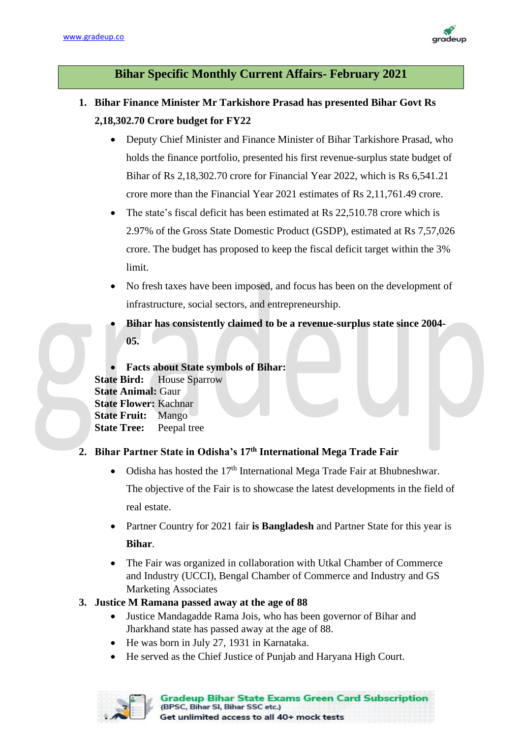

# **Bihar Specific Monthly Current Affairs- February 2021**

- **1. Bihar Finance Minister Mr Tarkishore Prasad has presented Bihar Govt Rs 2,18,302.70 Crore budget for FY22**
	- Deputy Chief Minister and Finance Minister of Bihar Tarkishore Prasad, who holds the finance portfolio, presented his first revenue-surplus state budget of Bihar of Rs 2,18,302.70 crore for Financial Year 2022, which is Rs 6,541.21 crore more than the Financial Year 2021 estimates of Rs 2,11,761.49 crore.
	- The state's fiscal deficit has been estimated at Rs 22,510.78 crore which is 2.97% of the Gross State Domestic Product (GSDP), estimated at Rs 7,57,026 crore. The budget has proposed to keep the fiscal deficit target within the 3% limit.
	- No fresh taxes have been imposed, and focus has been on the development of infrastructure, social sectors, and entrepreneurship.
	- **Bihar has consistently claimed to be a revenue-surplus state since 2004- 05.**

• **Facts about State symbols of Bihar: State Bird:** House Sparrow **State Animal:** Gaur **State Flower:** Kachnar **State Fruit:** Mango **State Tree:** Peepal tree

# **2. Bihar Partner State in Odisha's 17th International Mega Trade Fair**

- Odisha has hosted the  $17<sup>th</sup>$  International Mega Trade Fair at Bhubneshwar. The objective of the Fair is to showcase the latest developments in the field of real estate.
- Partner Country for 2021 fair **is Bangladesh** and Partner State for this year is **Bihar**.
- The Fair was organized in collaboration with Utkal Chamber of Commerce and Industry (UCCI), Bengal Chamber of Commerce and Industry and GS Marketing Associates

#### **3. Justice M Ramana passed away at the age of 88**

- Justice Mandagadde Rama Jois, who has been governor of Bihar and Jharkhand state has passed away at the age of 88.
- He was born in July 27, 1931 in Karnataka.
- He served as the Chief Justice of Punjab and Haryana High Court.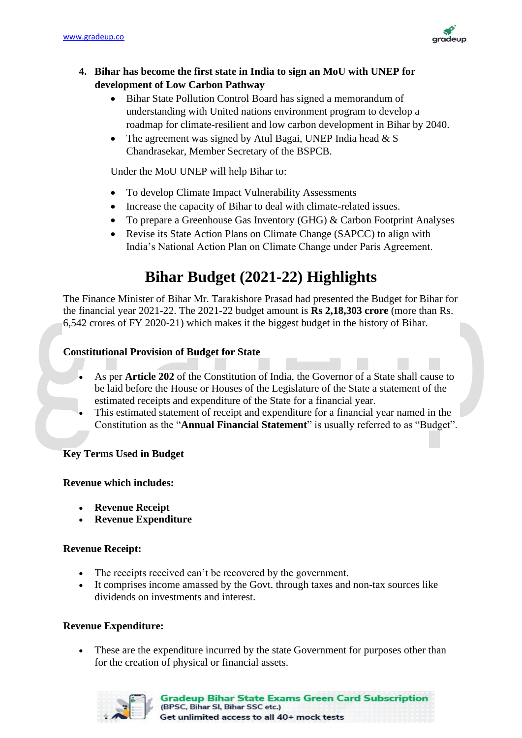

# **4. Bihar has become the first state in India to sign an MoU with UNEP for development of Low Carbon Pathway**

- Bihar State Pollution Control Board has signed a memorandum of understanding with United nations environment program to develop a roadmap for climate-resilient and low carbon development in Bihar by 2040.
- The agreement was signed by Atul Bagai, UNEP India head  $& S$ Chandrasekar, Member Secretary of the BSPCB.

Under the MoU UNEP will help Bihar to:

- To develop Climate Impact Vulnerability Assessments
- Increase the capacity of Bihar to deal with climate-related issues.
- To prepare a Greenhouse Gas Inventory (GHG) & Carbon Footprint Analyses
- Revise its State Action Plans on Climate Change (SAPCC) to align with India's National Action Plan on Climate Change under Paris Agreement.

# **Bihar Budget (2021-22) Highlights**

The Finance Minister of Bihar Mr. Tarakishore Prasad had presented the Budget for Bihar for the financial year 2021-22. The 2021-22 budget amount is **Rs 2,18,303 crore** (more than Rs. 6,542 crores of FY 2020-21) which makes it the biggest budget in the history of Bihar.

# **Constitutional Provision of Budget for State**

- As per **Article 202** of the Constitution of India, the Governor of a State shall cause to be laid before the House or Houses of the Legislature of the State a statement of the estimated receipts and expenditure of the State for a financial year.
- This estimated statement of receipt and expenditure for a financial year named in the Constitution as the "**Annual Financial Statement**" is usually referred to as "Budget".

## **Key Terms Used in Budget**

## **Revenue which includes:**

- **Revenue Receipt**
- **Revenue Expenditure**

## **Revenue Receipt:**

- The receipts received can't be recovered by the government.
- It comprises income amassed by the Govt. through taxes and non-tax sources like dividends on investments and interest.

## **Revenue Expenditure:**

• These are the expenditure incurred by the state Government for purposes other than for the creation of physical or financial assets.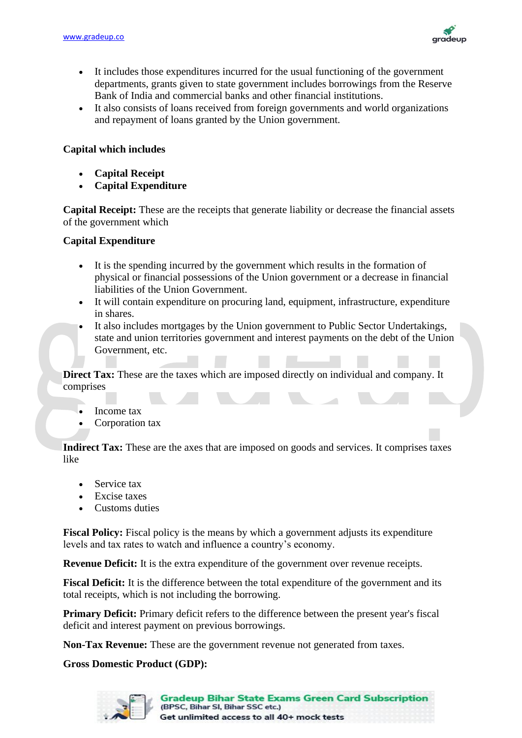

- It includes those expenditures incurred for the usual functioning of the government departments, grants given to state government includes borrowings from the Reserve Bank of India and commercial banks and other financial institutions.
- It also consists of loans received from foreign governments and world organizations and repayment of loans granted by the Union government.

### **Capital which includes**

- **Capital Receipt**
- **Capital Expenditure**

**Capital Receipt:** These are the receipts that generate liability or decrease the financial assets of the government which

#### **Capital Expenditure**

- It is the spending incurred by the government which results in the formation of physical or financial possessions of the Union government or a decrease in financial liabilities of the Union Government.
- It will contain expenditure on procuring land, equipment, infrastructure, expenditure in shares.
- It also includes mortgages by the Union government to Public Sector Undertakings, state and union territories government and interest payments on the debt of the Union Government, etc.

**Direct Tax:** These are the taxes which are imposed directly on individual and company. It comprises

- Income tax
- Corporation tax

**Indirect Tax:** These are the axes that are imposed on goods and services. It comprises taxes like

- Service tax
- **Excise taxes**
- Customs duties

**Fiscal Policy:** Fiscal policy is the means by which a government adjusts its expenditure levels and tax rates to watch and influence a country's economy.

**Revenue Deficit:** It is the extra expenditure of the government over revenue receipts.

**Fiscal Deficit:** It is the difference between the total expenditure of the government and its total receipts, which is not including the borrowing.

**Primary Deficit:** Primary deficit refers to the difference between the present year's fiscal deficit and interest payment on previous borrowings.

**Non-Tax Revenue:** These are the government revenue not generated from taxes.

#### **Gross Domestic Product (GDP):**

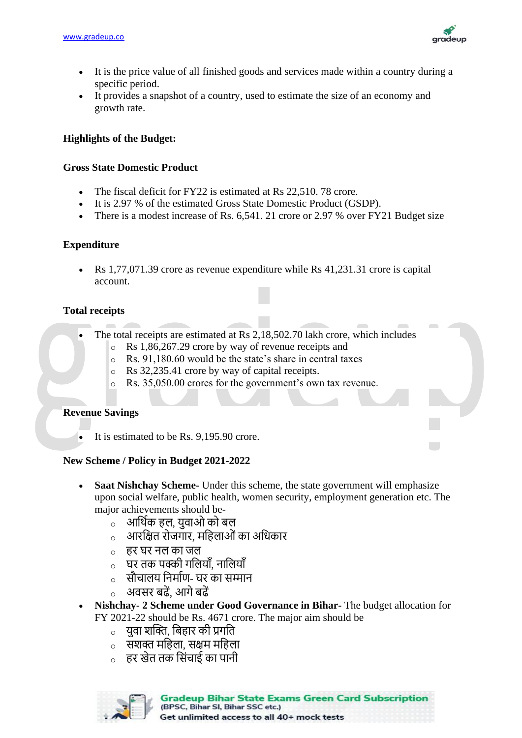

- It is the price value of all finished goods and services made within a country during a specific period.
- It provides a snapshot of a country, used to estimate the size of an economy and growth rate.

# **Highlights of the Budget:**

## **Gross State Domestic Product**

- The fiscal deficit for FY22 is estimated at Rs 22,510, 78 crore.
- It is 2.97 % of the estimated Gross State Domestic Product (GSDP).
- There is a modest increase of Rs. 6,541. 21 crore or 2.97 % over FY21 Budget size

## **Expenditure**

• Rs 1,77,071.39 crore as revenue expenditure while Rs 41,231.31 crore is capital account.

## **Total receipts**

- The total receipts are estimated at Rs 2,18,502.70 lakh crore, which includes
	- o Rs 1,86,267.29 crore by way of revenue receipts and
	- o Rs. 91,180.60 would be the state's share in central taxes
	- o Rs 32,235.41 crore by way of capital receipts.
	- Rs. 35,050.00 crores for the government's own tax revenue.

## **Revenue Savings**

It is estimated to be Rs. 9,195.90 crore.

## **New Scheme / Policy in Budget 2021-2022**

- **Saat Nishchay Scheme-** Under this scheme, the state government will emphasize upon social welfare, public health, women security, employment generation etc. The major achievements should be
	- o आर्थिक हल, युवाओ को बल
	- o आरर्ित रोजगार, मर्हलाओंका अर्िकार
	- o हर घर नल का जल
	- o घर तक पक्की गर्लयााँ, नार्लयााँ
	- o सौचालय र्नमािण- घर का सम्मान
	- o अवसर बढें, आगेबढें
- **Nishchay- 2 Scheme under Good Governance in Bihar-** The budget allocation for FY 2021-22 should be Rs. 4671 crore. The major aim should be
	- o युवा शक्ति, र्बहार की प्रगर्त
	- $\,$  सशक्त महिला. सक्षम महिला
	- o हर खेत तक र्संचाई का पानी

**Gradeup Bihar State Exams Green Card Subscription** (BPSC, Bihar SI, Bihar SSC etc.) Get unlimited access to all 40+ mock tests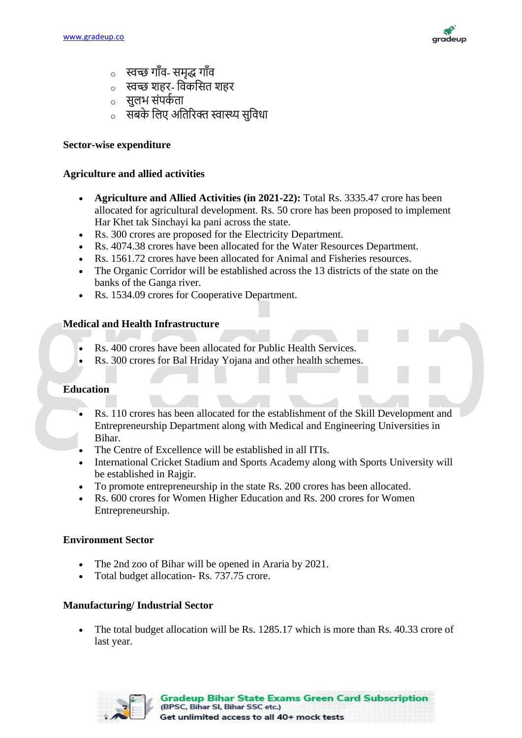

- o स्वच्छ गााँव- समृद्ध गााँव
- o स्वच्छ शहर- र्वकर्सत शहर
- o सुलभ संपकि ता
- ं सबके लिए अतिरिक्त स्वास्थ्य सुविधा

### **Sector-wise expenditure**

## **Agriculture and allied activities**

- **Agriculture and Allied Activities (in 2021-22):** Total Rs. 3335.47 crore has been allocated for agricultural development. Rs. 50 crore has been proposed to implement Har Khet tak Sinchayi ka pani across the state.
- Rs. 300 crores are proposed for the Electricity Department.
- Rs. 4074.38 crores have been allocated for the Water Resources Department.
- Rs. 1561.72 crores have been allocated for Animal and Fisheries resources.
- The Organic Corridor will be established across the 13 districts of the state on the banks of the Ganga river.
- Rs. 1534.09 crores for Cooperative Department.

## **Medical and Health Infrastructure**

- Rs. 400 crores have been allocated for Public Health Services.
- Rs. 300 crores for Bal Hriday Yojana and other health schemes.

### **Education**

- Rs. 110 crores has been allocated for the establishment of the Skill Development and Entrepreneurship Department along with Medical and Engineering Universities in Bihar.
- The Centre of Excellence will be established in all ITIs.
- International Cricket Stadium and Sports Academy along with Sports University will be established in Rajgir.
- To promote entrepreneurship in the state Rs. 200 crores has been allocated.
- Rs. 600 crores for Women Higher Education and Rs. 200 crores for Women Entrepreneurship.

#### **Environment Sector**

- The 2nd zoo of Bihar will be opened in Araria by 2021.
- Total budget allocation- Rs. 737.75 crore.

#### **Manufacturing/ Industrial Sector**

The total budget allocation will be Rs. 1285.17 which is more than Rs. 40.33 crore of last year.

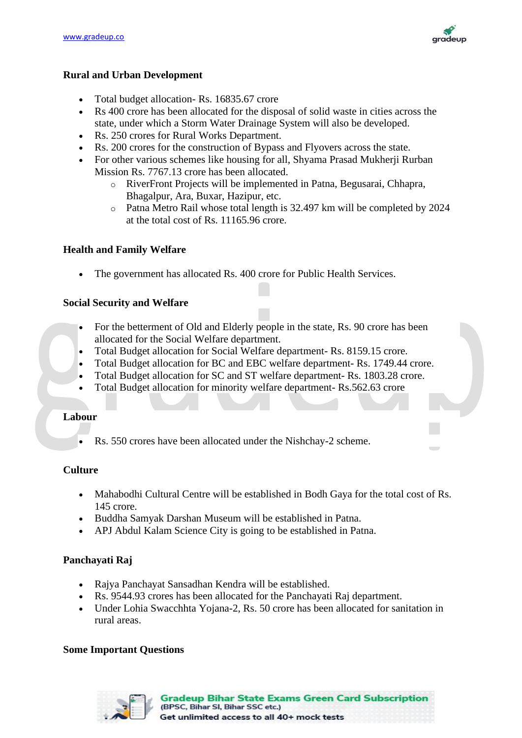

#### **Rural and Urban Development**

- Total budget allocation- Rs. 16835.67 crore
- Rs 400 crore has been allocated for the disposal of solid waste in cities across the state, under which a Storm Water Drainage System will also be developed.
- Rs. 250 crores for Rural Works Department.
- Rs. 200 crores for the construction of Bypass and Flyovers across the state.
- For other various schemes like housing for all, Shyama Prasad Mukherji Rurban Mission Rs. 7767.13 crore has been allocated.
	- o RiverFront Projects will be implemented in Patna, Begusarai, Chhapra, Bhagalpur, Ara, Buxar, Hazipur, etc.
	- o Patna Metro Rail whose total length is 32.497 km will be completed by 2024 at the total cost of Rs. 11165.96 crore.

#### **Health and Family Welfare**

The government has allocated Rs. 400 crore for Public Health Services.

#### **Social Security and Welfare**

- For the betterment of Old and Elderly people in the state, Rs. 90 crore has been allocated for the Social Welfare department.
- Total Budget allocation for Social Welfare department- Rs. 8159.15 crore.
- Total Budget allocation for BC and EBC welfare department- Rs. 1749.44 crore.
- Total Budget allocation for SC and ST welfare department- Rs. 1803.28 crore.
- Total Budget allocation for minority welfare department-Rs.562.63 crore

## **Labour**

• Rs. 550 crores have been allocated under the Nishchay-2 scheme.

#### **Culture**

- Mahabodhi Cultural Centre will be established in Bodh Gaya for the total cost of Rs. 145 crore.
- Buddha Samyak Darshan Museum will be established in Patna.
- APJ Abdul Kalam Science City is going to be established in Patna.

#### **Panchayati Raj**

- Rajya Panchayat Sansadhan Kendra will be established.
- Rs. 9544.93 crores has been allocated for the Panchayati Raj department.
- Under Lohia Swacchhta Yojana-2, Rs. 50 crore has been allocated for sanitation in rural areas.

#### **Some Important Questions**